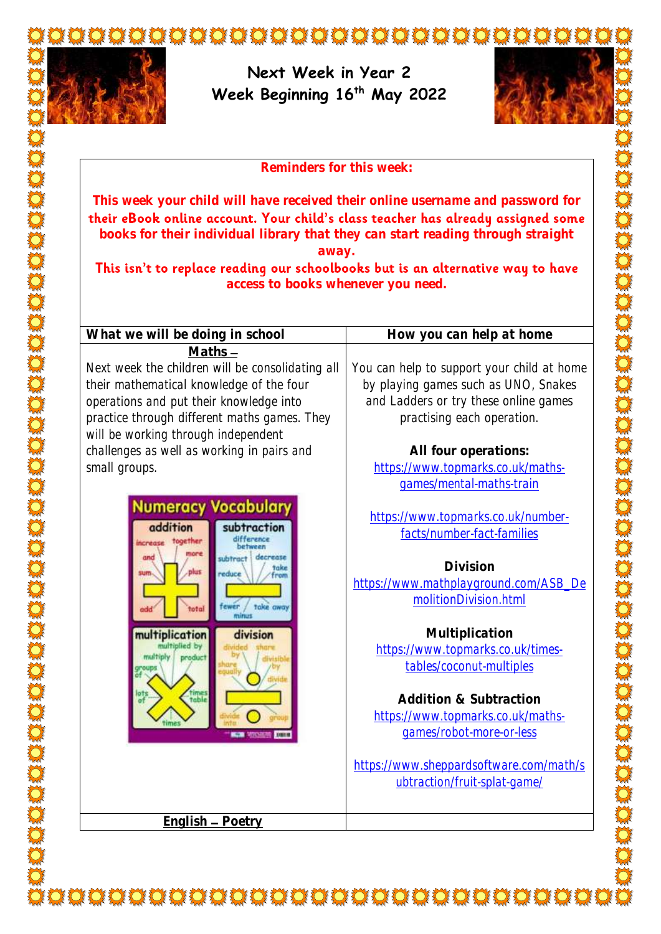

**Next Week in Year 2 Week Beginning 16th May 2022**



**Reminders for this week:**

**This week your child will have received their online username and password for**  their eBook online account. Your child's class teacher has already assigned some **books for their individual library that they can start reading through straight away.**

This isn't to replace reading our schoolbooks but is an alternative way to have **access to books whenever you need.**

**What we will be doing in school How you can help at home Maths** Next week the children will be consolidating all You can help to support your child at home their mathematical knowledge of the four by playing games such as UNO, Snakes operations and put their knowledge into and Ladders or try these online games practice through different maths games. They practising each operation. will be working through independent challenges as well as working in pairs and **All four operations:** small groups. [https://www.topmarks.co.uk/maths](https://www.topmarks.co.uk/maths-games/mental-maths-train)[games/mental-maths-train](https://www.topmarks.co.uk/maths-games/mental-maths-train) **Numeracy Vocabular** [https://www.topmarks.co.uk/number](https://www.topmarks.co.uk/number-facts/number-fact-families)addition subtraction [facts/number-fact-families](https://www.topmarks.co.uk/number-facts/number-fact-families) **Division**  educe [https://www.mathplayground.com/ASB\\_De](https://www.mathplayground.com/ASB_DemolitionDivision.html) [molitionDivision.html](https://www.mathplayground.com/ASB_DemolitionDivision.html) fewer / take **Multiplication**  multiplication division [https://www.topmarks.co.uk/times](https://www.topmarks.co.uk/times-tables/coconut-multiples)[tables/coconut-multiples](https://www.topmarks.co.uk/times-tables/coconut-multiples) **Addition & Subtraction**  [https://www.topmarks.co.uk/maths](https://www.topmarks.co.uk/maths-games/robot-more-or-less)[games/robot-more-or-less](https://www.topmarks.co.uk/maths-games/robot-more-or-less) [https://www.sheppardsoftware.com/math/s](https://www.sheppardsoftware.com/math/subtraction/fruit-splat-game/) [ubtraction/fruit-splat-game/](https://www.sheppardsoftware.com/math/subtraction/fruit-splat-game/) **English Poetry**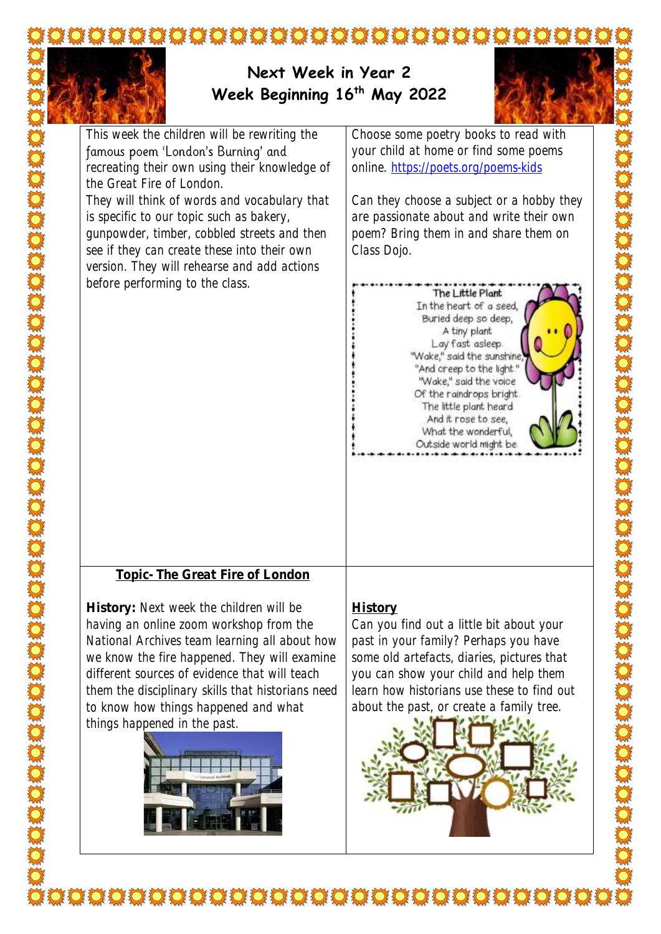

## **Next Week in Year 2 Week Beginning 16th May 2022**



This week the children will be rewriting the famous poem 'London's Burning' and recreating their own using their knowledge of the Great Fire of London.

They will think of words and vocabulary that is specific to our topic such as bakery, gunpowder, timber, cobbled streets and then see if they can create these into their own version. They will rehearse and add actions before performing to the class.

Choose some poetry books to read with your child at home or find some poems online.<https://poets.org/poems-kids>

Can they choose a subject or a hobby they are passionate about and write their own poem? Bring them in and share them on Class Dojo.



**Topic- The Great Fire of London**

**History:** Next week the children will be having an online zoom workshop from the National Archives team learning all about how we know the fire happened. They will examine different sources of evidence that will teach them the disciplinary skills that historians need to know how things happened and what things happened in the past.



## **History**

Can you find out a little bit about your past in your family? Perhaps you have some old artefacts, diaries, pictures that you can show your child and help them learn how historians use these to find out about the past, or create a family tree.